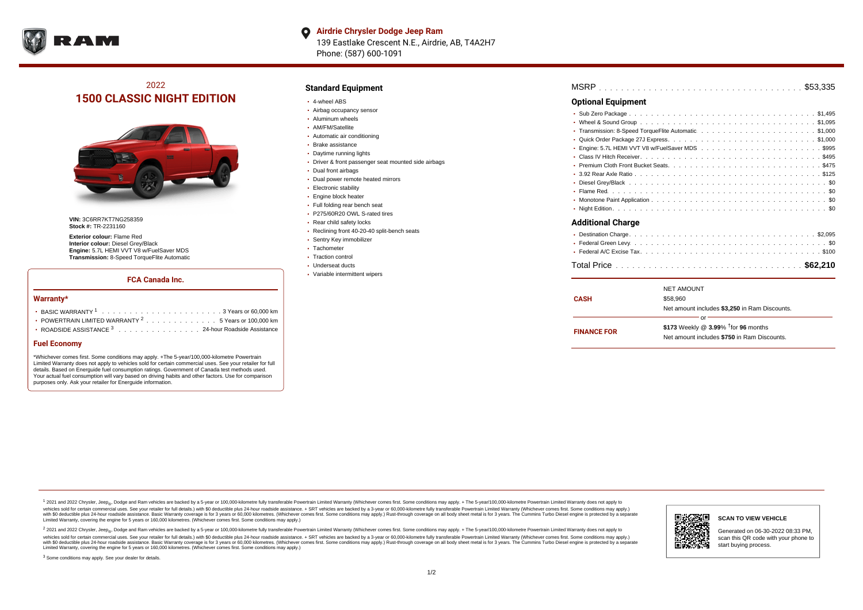

#### **Airdrie Chrysler Dodge Jeep Ram**  $\bullet$

139 Eastlake Crescent N.E., Airdrie, AB, T4A2H7 Phone: (587) 600-1091

## 2022 **1500 CLASSIC NIGHT EDITION**



**VIN:** 3C6RR7KT7NG258359 **Stock #:** TR-2231160

**Exterior colour:** Flame Red **Interior colour:** Diesel Grey/Black **Engine:** 5.7L HEMI VVT V8 w/FuelSaver MDS **Transmission:** 8-Speed TorqueFlite Automatic

## **FCA Canada Inc.**

#### **Warranty\***

| • POWERTRAIN LIMITED WARRANTY $2, \ldots, \ldots, \ldots, \ldots, 5$ Years or 100,000 km |
|------------------------------------------------------------------------------------------|
| ROADSIDE ASSISTANCE 3 24-hour Roadside Assistance                                        |

### **Fuel Economy**

\*Whichever comes first. Some conditions may apply. +The 5-year/100,000-kilometre Powertrain Limited Warranty does not apply to vehicles sold for certain commercial uses. See your retailer for full details. Based on Energuide fuel consumption ratings. Government of Canada test methods used. Your actual fuel consumption will vary based on driving habits and other factors. Use for comparison purposes only. Ask your retailer for Energuide information.

### **Standard Equipment**

- 4-wheel ABS
- Airbag occupancy sensor
- Aluminum wheels
- AM/FM/Satellite
- Automatic air conditioning
- Brake assistance
- Daytime running lights
- Driver & front passenger seat mounted side airbags
- Dual front airbags
- Dual power remote heated mirrors
- **Electronic stability**
- Engine block heater
- Full folding rear bench seat
- P275/60R20 OWL S-rated tires
- Rear child safety locks
- Reclining front 40-20-40 split-bench seats
- Sentry Key immobilizer
- Tachometer
- Traction control Underseat ducts
- Variable intermittent wipers
- 

| <b>Optional Equipment</b> |  |
|---------------------------|--|
|                           |  |
|                           |  |
|                           |  |
|                           |  |
|                           |  |
|                           |  |
|                           |  |
|                           |  |
| $\bullet$                 |  |
|                           |  |
|                           |  |
|                           |  |
| <b>Additional Charge</b>  |  |
|                           |  |
|                           |  |
|                           |  |
|                           |  |

|                    | <b>NET AMOUNT</b>                                  |  |
|--------------------|----------------------------------------------------|--|
| <b>CASH</b>        | \$58,960                                           |  |
|                    | Net amount includes \$3,250 in Ram Discounts.      |  |
|                    | Ωľ                                                 |  |
| <b>FINANCE FOR</b> | \$173 Weekly @ $3.99\%$ <sup>†</sup> for 96 months |  |
|                    | Net amount includes \$750 in Ram Discounts.        |  |
|                    |                                                    |  |

1 2021 and 2022 Chrysler, Jeep<sub>en</sub> Dodge and Ram vehicles are backed by a 5-year or 100,000-kilometre fully transferable Powertrain Limited Warranty (Whichever comes first. Some conditions may apply. + The 5-year/100,000-k vehicles sold for certain commercial uses. See your retailer for full details.) with \$0 deductible plus 24-hour roadside assistance. + SRT vehicles are backed by a 3-year or 60,000-kilometre fully transferable Powertrain L versus and contract the mean of the contract of the contract with a contract with a contract the contract of the search of the contract and a control of the contract and contract and control of the search of the search of Limited Warranty, covering the engine for 5 years or 160,000 kilometres. (Whichever comes first. Some conditions may apply.)

<sup>2</sup> 2021 and 2022 Chrysler, Jeep<sub>®</sub>, Dodge and Ram vehicles are backed by a 5-year or 100,000-kilometre fully transferable Powertrain Limited Warranty (Whichever comes first. Some conditions may apply. + The 5-year/100,000 vehicles sold for certain commercial uses. See your retailer for full details.) with SO deductible plus 24-hour roadside assistance. + SRT vehicles are backed by a 3-year or 60.000-kilometre fully transferable Powertrain. with S0 deductible plus 24-hour roadside assistance. Basic Warranty coverage is for 3 years or 60,000 kilometres. (Whichever comes first. Some conditions may apply.) Rust-through coverage on all body sheet metal is for 3 y



**SCAN TO VIEW VEHICLE**

Generated on 06-30-2022 08:33 PM, scan this QR code with your phone to start buying process.

<sup>3</sup> Some conditions may apply. See your dealer for details.